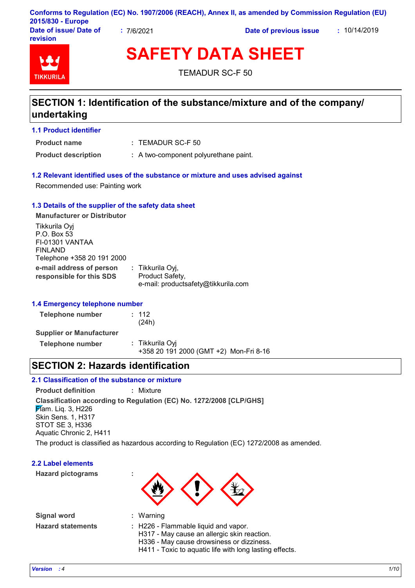|                                    |            | Conforms to Regulation (EC) No. 1907/2006 (REACH), Annex II, as amended by Commission Regulation (EU) |              |  |
|------------------------------------|------------|-------------------------------------------------------------------------------------------------------|--------------|--|
| 2015/830 - Europe                  |            |                                                                                                       |              |  |
| Date of issue/ Date of<br>revision | : 7/6/2021 | Date of previous issue                                                                                | : 10/14/2019 |  |

# **SAFETY DATA SHEET**

TEMADUR SC-F 50

### **SECTION 1: Identification of the substance/mixture and of the company/ undertaking**

### **1.1 Product identifier**

**Product name**

**TIKKURIL** 

TEMADUR SC-F 50 **:**

**Product description :** A two-component polyurethane paint.

### **1.2 Relevant identified uses of the substance or mixture and uses advised against**

Recommended use: Painting work

#### **1.3 Details of the supplier of the safety data sheet**

**e-mail address of person responsible for this SDS :** Tikkurila Oyj, Product Safety, e-mail: productsafety@tikkurila.com **Manufacturer or Distributor** Tikkurila Oyj P.O. Box 53 FI-01301 VANTAA FINLAND Telephone +358 20 191 2000

### **1.4 Emergency telephone number**

| <b>Telephone number</b>         | : 112<br>(24h)                                            |
|---------------------------------|-----------------------------------------------------------|
| <b>Supplier or Manufacturer</b> |                                                           |
| <b>Telephone number</b>         | : Tikkurila Oyi<br>+358 20 191 2000 (GMT +2) Mon-Fri 8-16 |

### **SECTION 2: Hazards identification**

### **2.1 Classification of the substance or mixture**

**Classification according to Regulation (EC) No. 1272/2008 [CLP/GHS] Product definition :** Mixture **F**lam. Lig. 3, H226 Skin Sens. 1, H317 STOT SE 3, H336 Aquatic Chronic 2, H411

The product is classified as hazardous according to Regulation (EC) 1272/2008 as amended.

### **2.2 Label elements**

**Hazard pictograms :**

**Signal word : Hazard statements :**

- 
- Warning
- 
- : H226 Flammable liquid and vapor.
- H317 May cause an allergic skin reaction.
- H336 May cause drowsiness or dizziness.
- H411 Toxic to aquatic life with long lasting effects.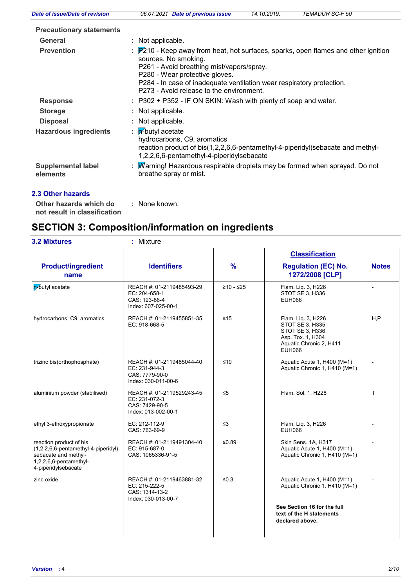| Date of issue/Date of revision        | <b>TEMADUR SC-F 50</b><br>06.07.2021 Date of previous issue<br>14.10.2019.                                                                                                                                                                                                                                     |
|---------------------------------------|----------------------------------------------------------------------------------------------------------------------------------------------------------------------------------------------------------------------------------------------------------------------------------------------------------------|
| <b>Precautionary statements</b>       |                                                                                                                                                                                                                                                                                                                |
| General                               | : Not applicable.                                                                                                                                                                                                                                                                                              |
| <b>Prevention</b>                     | : P210 - Keep away from heat, hot surfaces, sparks, open flames and other ignition<br>sources. No smoking.<br>P261 - Avoid breathing mist/vapors/spray.<br>P280 - Wear protective gloves.<br>P284 - In case of inadequate ventilation wear respiratory protection.<br>P273 - Avoid release to the environment. |
| <b>Response</b>                       | : P302 + P352 - IF ON SKIN: Wash with plenty of soap and water.                                                                                                                                                                                                                                                |
| <b>Storage</b>                        | : Not applicable.                                                                                                                                                                                                                                                                                              |
| <b>Disposal</b>                       | : Not applicable.                                                                                                                                                                                                                                                                                              |
| <b>Hazardous ingredients</b>          | : $p^2$ -butyl acetate<br>hydrocarbons, C9, aromatics<br>reaction product of bis(1,2,2,6,6-pentamethyl-4-piperidyl)sebacate and methyl-<br>1,2,2,6,6-pentamethyl-4-piperidylsebacate                                                                                                                           |
| <b>Supplemental label</b><br>elements | : Marning! Hazardous respirable droplets may be formed when sprayed. Do not<br>breathe spray or mist.                                                                                                                                                                                                          |

### **2.3 Other hazards**

**Other hazards which do : not result in classification** : None known.

# **SECTION 3: Composition/information on ingredients**

|                                                                                                                                               |                                                                                                                                                                                |               | <b>Classification</b>                                                               |              |
|-----------------------------------------------------------------------------------------------------------------------------------------------|--------------------------------------------------------------------------------------------------------------------------------------------------------------------------------|---------------|-------------------------------------------------------------------------------------|--------------|
| <b>Product/ingredient</b><br>name                                                                                                             | <b>Identifiers</b>                                                                                                                                                             | $\frac{9}{6}$ | <b>Regulation (EC) No.</b><br>1272/2008 [CLP]                                       | <b>Notes</b> |
| p-butyl acetate                                                                                                                               | REACH #: 01-2119485493-29<br>EC: 204-658-1<br>CAS: 123-86-4<br>Index: 607-025-00-1                                                                                             | $≥10 - ≤25$   | Flam. Liq. 3, H226<br>STOT SE 3, H336<br><b>EUH066</b>                              |              |
| hydrocarbons, C9, aromatics                                                                                                                   | REACH #: 01-2119455851-35<br>≤15<br>Flam. Lig. 3, H226<br>STOT SE 3, H335<br>EC: 918-668-5<br>STOT SE 3, H336<br>Asp. Tox. 1, H304<br>Aquatic Chronic 2, H411<br><b>EUH066</b> |               | H.P                                                                                 |              |
| trizinc bis(orthophosphate)                                                                                                                   | REACH #: 01-2119485044-40<br>EC: 231-944-3<br>CAS: 7779-90-0<br>Index: 030-011-00-6                                                                                            | ≤10           | Aquatic Acute 1, H400 (M=1)<br>Aquatic Chronic 1, H410 (M=1)                        |              |
| aluminium powder (stabilised)                                                                                                                 | REACH #: 01-2119529243-45<br>EC: 231-072-3<br>CAS: 7429-90-5<br>Index: 013-002-00-1                                                                                            | $\leq 5$      | Flam. Sol. 1, H228                                                                  | T            |
| ethyl 3-ethoxypropionate                                                                                                                      | EC: 212-112-9<br>CAS: 763-69-9                                                                                                                                                 | ≤3            | Flam. Liq. 3, H226<br><b>EUH066</b>                                                 |              |
| reaction product of bis<br>$(1,2,2,6,6$ -pentamethyl-4-piperidyl)<br>sebacate and methyl-<br>$1,2,2,6,6$ -pentamethyl-<br>4-piperidylsebacate | REACH #: 01-2119491304-40<br>EC: 915-687-0<br>CAS: 1065336-91-5                                                                                                                | ≤0.89         | Skin Sens. 1A, H317<br>Aquatic Acute 1, H400 (M=1)<br>Aquatic Chronic 1, H410 (M=1) |              |
| zinc oxide                                                                                                                                    | REACH #: 01-2119463881-32<br>EC: 215-222-5<br>CAS: 1314-13-2<br>Index: 030-013-00-7                                                                                            | ≤ $0.3$       | Aquatic Acute 1, H400 (M=1)<br>Aquatic Chronic 1, H410 (M=1)                        |              |
|                                                                                                                                               |                                                                                                                                                                                |               | See Section 16 for the full<br>text of the H statements<br>declared above.          |              |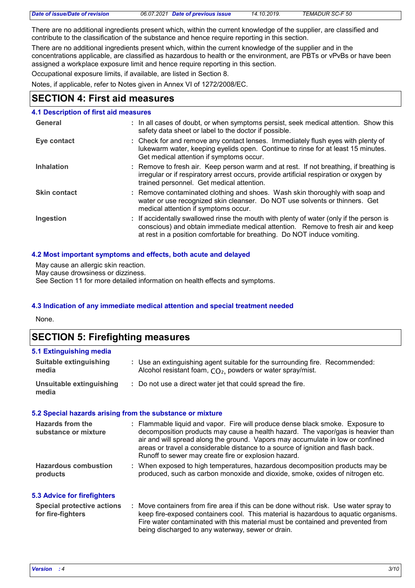|  | Date of issue/Date of revision | 06.07.2021 Date of previous issue | 14.10.2019. | <b>TEMADUR SC-F 50</b> |
|--|--------------------------------|-----------------------------------|-------------|------------------------|
|--|--------------------------------|-----------------------------------|-------------|------------------------|

There are no additional ingredients present which, within the current knowledge of the supplier, are classified and contribute to the classification of the substance and hence require reporting in this section.

There are no additional ingredients present which, within the current knowledge of the supplier and in the concentrations applicable, are classified as hazardous to health or the environment, are PBTs or vPvBs or have been assigned a workplace exposure limit and hence require reporting in this section.

Occupational exposure limits, if available, are listed in Section 8.

Notes, if applicable, refer to Notes given in Annex VI of 1272/2008/EC.

### **SECTION 4: First aid measures**

#### : If accidentally swallowed rinse the mouth with plenty of water (only if the person is conscious) and obtain immediate medical attention. Remove to fresh air and keep at rest in a position comfortable for breathing. Do NOT induce vomiting. **Skin contact** Check for and remove any contact lenses. Immediately flush eyes with plenty of **:** lukewarm water, keeping eyelids open. Continue to rinse for at least 15 minutes. Get medical attention if symptoms occur. Remove contaminated clothing and shoes. Wash skin thoroughly with soap and **:** water or use recognized skin cleanser. Do NOT use solvents or thinners. Get medical attention if symptoms occur. **4.1 Description of first aid measures** Remove to fresh air. Keep person warm and at rest. If not breathing, if breathing is **:** irregular or if respiratory arrest occurs, provide artificial respiration or oxygen by trained personnel. Get medical attention. **Ingestion Inhalation Eye contact General :** In all cases of doubt, or when symptoms persist, seek medical attention. Show this safety data sheet or label to the doctor if possible.

#### **4.2 Most important symptoms and effects, both acute and delayed**

May cause an allergic skin reaction.

May cause drowsiness or dizziness.

See Section 11 for more detailed information on health effects and symptoms.

### **4.3 Indication of any immediate medical attention and special treatment needed**

None.

**media**

**media**

| <b>SECTION 5: Firefighting measures</b> |                                                                            |
|-----------------------------------------|----------------------------------------------------------------------------|
| 5.1 Extinguishing media                 |                                                                            |
| Suitable extinguishing                  | Use an extinguishing agent suitable for the surrounding fire. Recommended: |

| Alcohol resistant foam, CO <sub>2</sub> , powders or water spray/mist. |
|------------------------------------------------------------------------|
|------------------------------------------------------------------------|

Do not use a direct water jet that could spread the fire. **: Unsuitable extinguishing** 

#### **5.2 Special hazards arising from the substance or mixture**

| Hazards from the<br>substance or mixture                                                         | : Flammable liquid and vapor. Fire will produce dense black smoke. Exposure to<br>decomposition products may cause a health hazard. The vapor/gas is heavier than<br>air and will spread along the ground. Vapors may accumulate in low or confined<br>areas or travel a considerable distance to a source of ignition and flash back.<br>Runoff to sewer may create fire or explosion hazard. |  |
|--------------------------------------------------------------------------------------------------|------------------------------------------------------------------------------------------------------------------------------------------------------------------------------------------------------------------------------------------------------------------------------------------------------------------------------------------------------------------------------------------------|--|
| <b>Hazardous combustion</b><br>products                                                          | : When exposed to high temperatures, hazardous decomposition products may be<br>produced, such as carbon monoxide and dioxide, smoke, oxides of nitrogen etc.                                                                                                                                                                                                                                  |  |
| <b>5.3 Advice for firefighters</b><br><b>Special protective actions</b><br>Law Corp. Collections | : Move containers from fire area if this can be done without risk. Use water spray to<br>legan fina aynaasad santainana agal . This matanial is bayyadaya ta sayyatis sunanisma                                                                                                                                                                                                                |  |

keep fire-exposed containers cool. This material is hazardous to aquatic organisms. Fire water contaminated with this material must be contained and prevented from being discharged to any waterway, sewer or drain. **for fire-fighters**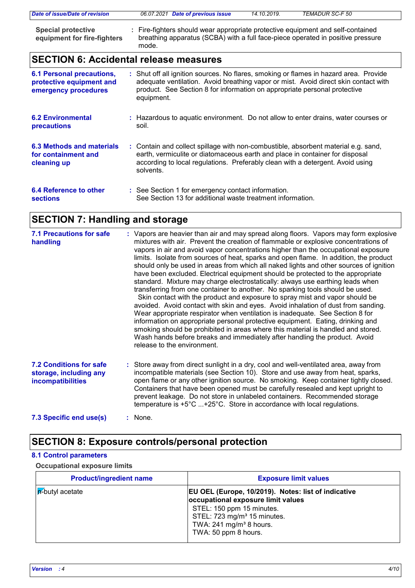| Date of issue/Date of revision                           | 06.07.2021 Date of previous issue                                                                                                                                         | 14.10.2019. | TEMADUR SC-F 50 |  |
|----------------------------------------------------------|---------------------------------------------------------------------------------------------------------------------------------------------------------------------------|-------------|-----------------|--|
| <b>Special protective</b><br>equipment for fire-fighters | Fire-fighters should wear appropriate protective equipment and self-contained<br>breathing apparatus (SCBA) with a full face-piece operated in positive pressure<br>mode. |             |                 |  |

# **SECTION 6: Accidental release measures**

| <b>6.1 Personal precautions,</b><br>protective equipment and<br>emergency procedures | : Shut off all ignition sources. No flares, smoking or flames in hazard area. Provide<br>adequate ventilation. Avoid breathing vapor or mist. Avoid direct skin contact with<br>product. See Section 8 for information on appropriate personal protective<br>equipment. |
|--------------------------------------------------------------------------------------|-------------------------------------------------------------------------------------------------------------------------------------------------------------------------------------------------------------------------------------------------------------------------|
| <b>6.2 Environmental</b><br>precautions                                              | : Hazardous to aquatic environment. Do not allow to enter drains, water courses or<br>soil.                                                                                                                                                                             |
| 6.3 Methods and materials<br>for containment and<br>cleaning up                      | : Contain and collect spillage with non-combustible, absorbent material e.g. sand,<br>earth, vermiculite or diatomaceous earth and place in container for disposal<br>according to local regulations. Preferably clean with a detergent. Avoid using<br>solvents.       |
| 6.4 Reference to other<br><b>sections</b>                                            | : See Section 1 for emergency contact information.<br>See Section 13 for additional waste treatment information.                                                                                                                                                        |

## **SECTION 7: Handling and storage**

| <b>7.1 Precautions for safe</b><br>handling                                          | : Vapors are heavier than air and may spread along floors. Vapors may form explosive<br>mixtures with air. Prevent the creation of flammable or explosive concentrations of<br>vapors in air and avoid vapor concentrations higher than the occupational exposure<br>limits. Isolate from sources of heat, sparks and open flame. In addition, the product<br>should only be used in areas from which all naked lights and other sources of ignition<br>have been excluded. Electrical equipment should be protected to the appropriate<br>standard. Mixture may charge electrostatically: always use earthing leads when<br>transferring from one container to another. No sparking tools should be used.<br>Skin contact with the product and exposure to spray mist and vapor should be<br>avoided. Avoid contact with skin and eyes. Avoid inhalation of dust from sanding.<br>Wear appropriate respirator when ventilation is inadequate. See Section 8 for<br>information on appropriate personal protective equipment. Eating, drinking and<br>smoking should be prohibited in areas where this material is handled and stored.<br>Wash hands before breaks and immediately after handling the product. Avoid<br>release to the environment. |
|--------------------------------------------------------------------------------------|-----------------------------------------------------------------------------------------------------------------------------------------------------------------------------------------------------------------------------------------------------------------------------------------------------------------------------------------------------------------------------------------------------------------------------------------------------------------------------------------------------------------------------------------------------------------------------------------------------------------------------------------------------------------------------------------------------------------------------------------------------------------------------------------------------------------------------------------------------------------------------------------------------------------------------------------------------------------------------------------------------------------------------------------------------------------------------------------------------------------------------------------------------------------------------------------------------------------------------------------------------|
| <b>7.2 Conditions for safe</b><br>storage, including any<br><b>incompatibilities</b> | : Store away from direct sunlight in a dry, cool and well-ventilated area, away from<br>incompatible materials (see Section 10). Store and use away from heat, sparks,<br>open flame or any other ignition source. No smoking. Keep container tightly closed.<br>Containers that have been opened must be carefully resealed and kept upright to<br>prevent leakage. Do not store in unlabeled containers. Recommended storage<br>temperature is $+5^{\circ}$ C +25°C. Store in accordance with local regulations.                                                                                                                                                                                                                                                                                                                                                                                                                                                                                                                                                                                                                                                                                                                                  |
| 7.3 Specific end use(s)                                                              | $:$ None.                                                                                                                                                                                                                                                                                                                                                                                                                                                                                                                                                                                                                                                                                                                                                                                                                                                                                                                                                                                                                                                                                                                                                                                                                                           |

### **SECTION 8: Exposure controls/personal protection**

### **8.1 Control parameters**

**Occupational exposure limits**

| <b>Product/ingredient name</b> | <b>Exposure limit values</b>                                                                                                                                                                                                       |
|--------------------------------|------------------------------------------------------------------------------------------------------------------------------------------------------------------------------------------------------------------------------------|
| <b>A</b> -butyl acetate        | EU OEL (Europe, 10/2019). Notes: list of indicative<br>occupational exposure limit values<br>STEL: 150 ppm 15 minutes.<br>STEL: 723 mg/m <sup>3</sup> 15 minutes.<br>TWA: $241$ mg/m <sup>3</sup> 8 hours.<br>TWA: 50 ppm 8 hours. |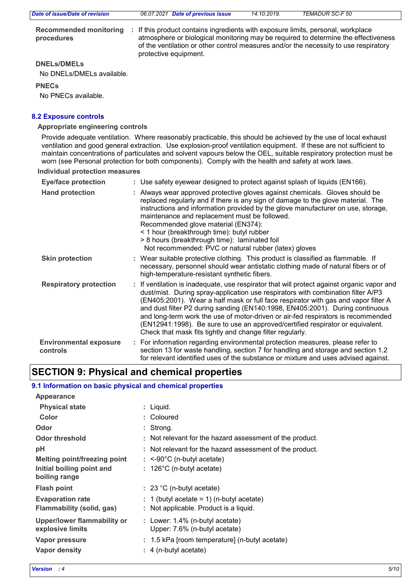| Date of issue/Date of revision                  | 06.07.2021 Date of previous issue                                                                                                                                                                 | 14.10.2019. | <b>TEMADUR SC-F 50</b>                                                             |
|-------------------------------------------------|---------------------------------------------------------------------------------------------------------------------------------------------------------------------------------------------------|-------------|------------------------------------------------------------------------------------|
| <b>Recommended monitoring</b><br>procedures     | : If this product contains ingredients with exposure limits, personal, workplace<br>of the ventilation or other control measures and/or the necessity to use respiratory<br>protective equipment. |             | atmosphere or biological monitoring may be required to determine the effectiveness |
| <b>DNELs/DMELS</b><br>No DNELs/DMELs available. |                                                                                                                                                                                                   |             |                                                                                    |

### **PNECs**

No PNECs available.

### **8.2 Exposure controls**

#### **Appropriate engineering controls**

Provide adequate ventilation. Where reasonably practicable, this should be achieved by the use of local exhaust ventilation and good general extraction. Use explosion-proof ventilation equipment. If these are not sufficient to maintain concentrations of particulates and solvent vapours below the OEL, suitable respiratory protection must be worn (see Personal protection for both components). Comply with the health and safety at work laws.

**Individual protection measures**

| <b>Eye/face protection</b>                | : Use safety eyewear designed to protect against splash of liquids (EN166).                                                                                                                                                                                                                                                                                                                                                                                                                                                                                                              |  |
|-------------------------------------------|------------------------------------------------------------------------------------------------------------------------------------------------------------------------------------------------------------------------------------------------------------------------------------------------------------------------------------------------------------------------------------------------------------------------------------------------------------------------------------------------------------------------------------------------------------------------------------------|--|
| <b>Hand protection</b>                    | : Always wear approved protective gloves against chemicals. Gloves should be<br>replaced regularly and if there is any sign of damage to the glove material. The<br>instructions and information provided by the glove manufacturer on use, storage,<br>maintenance and replacement must be followed.<br>Recommended glove material (EN374):<br>< 1 hour (breakthrough time): butyl rubber<br>> 8 hours (breakthrough time): laminated foil<br>Not recommended: PVC or natural rubber (latex) gloves                                                                                     |  |
| <b>Skin protection</b>                    | : Wear suitable protective clothing. This product is classified as flammable. If<br>necessary, personnel should wear antistatic clothing made of natural fibers or of<br>high-temperature-resistant synthetic fibers.                                                                                                                                                                                                                                                                                                                                                                    |  |
| <b>Respiratory protection</b>             | : If ventilation is inadequate, use respirator that will protect against organic vapor and<br>dust/mist. During spray-application use respirators with combination filter A/P3<br>(EN405:2001). Wear a half mask or full face respirator with gas and vapor filter A<br>and dust filter P2 during sanding (EN140:1998, EN405:2001). During continuous<br>and long-term work the use of motor-driven or air-fed respirators is recommended<br>(EN12941:1998). Be sure to use an approved/certified respirator or equivalent.<br>Check that mask fits tightly and change filter regularly. |  |
| <b>Environmental exposure</b><br>controls | : For information regarding environmental protection measures, please refer to<br>section 13 for waste handling, section 7 for handling and storage and section 1.2<br>for relevant identified uses of the substance or mixture and uses advised against.                                                                                                                                                                                                                                                                                                                                |  |

### **SECTION 9: Physical and chemical properties**

### **9.1 Information on basic physical and chemical properties**

| Appearance                                             |                                                                     |
|--------------------------------------------------------|---------------------------------------------------------------------|
| <b>Physical state</b>                                  | : Liquid.                                                           |
| Color                                                  | : Coloured                                                          |
| Odor                                                   | : Strong.                                                           |
| <b>Odor threshold</b>                                  | : Not relevant for the hazard assessment of the product.            |
| рH                                                     | : Not relevant for the hazard assessment of the product.            |
| <b>Melting point/freezing point</b>                    | $:$ <-90°C (n-butyl acetate)                                        |
| Initial boiling point and<br>boiling range             | : $126^{\circ}$ C (n-butyl acetate)                                 |
| <b>Flash point</b>                                     | : 23 °C (n-butyl acetate)                                           |
| <b>Evaporation rate</b>                                | : 1 (butyl acetate = 1) (n-butyl acetate)                           |
| Flammability (solid, gas)                              | : Not applicable. Product is a liquid.                              |
| <b>Upper/lower flammability or</b><br>explosive limits | : Lower: $1.4\%$ (n-butyl acetate)<br>Upper: 7.6% (n-butyl acetate) |
| Vapor pressure                                         | : 1.5 kPa [room temperature] (n-butyl acetate)                      |
| Vapor density                                          | : 4 (n-butyl acetate)                                               |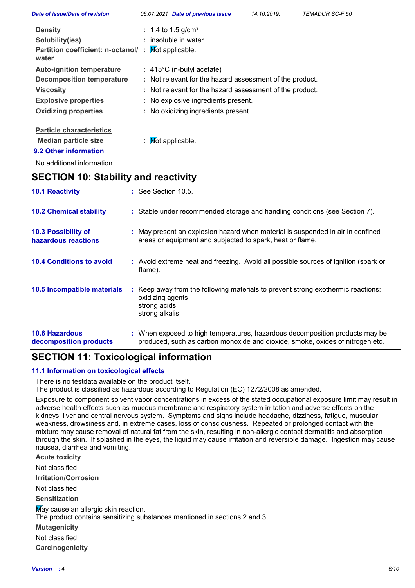| Date of issue/Date of revision              | <b>Date of previous issue</b><br>06.07.2021              | 14.10.2019. | <b>TEMADUR SC-F 50</b> |  |
|---------------------------------------------|----------------------------------------------------------|-------------|------------------------|--|
| <b>Density</b>                              | : 1.4 to 1.5 g/cm <sup>3</sup>                           |             |                        |  |
| Solubility(ies)                             | : insoluble in water.                                    |             |                        |  |
| Partition coefficient: n-octanol/:<br>water | Not applicable.                                          |             |                        |  |
| <b>Auto-ignition temperature</b>            | $: 415^{\circ}$ C (n-butyl acetate)                      |             |                        |  |
| Decomposition temperature                   | : Not relevant for the hazard assessment of the product. |             |                        |  |
| <b>Viscosity</b>                            | : Not relevant for the hazard assessment of the product. |             |                        |  |
| <b>Explosive properties</b>                 | : No explosive ingredients present.                      |             |                        |  |
| <b>Oxidizing properties</b>                 | : No oxidizing ingredients present.                      |             |                        |  |
| <b>Particle characteristics</b>             |                                                          |             |                        |  |

**Median particle size :** Not applicable.

**9.2 Other information**

No additional information.

| <b>SECTION 10: Stability and reactivity</b>     |                                                                                                                                                               |  |  |
|-------------------------------------------------|---------------------------------------------------------------------------------------------------------------------------------------------------------------|--|--|
| <b>10.1 Reactivity</b>                          | $\therefore$ See Section 10.5.                                                                                                                                |  |  |
| <b>10.2 Chemical stability</b>                  | : Stable under recommended storage and handling conditions (see Section 7).                                                                                   |  |  |
| 10.3 Possibility of<br>hazardous reactions      | : May present an explosion hazard when material is suspended in air in confined<br>areas or equipment and subjected to spark, heat or flame.                  |  |  |
| <b>10.4 Conditions to avoid</b>                 | : Avoid extreme heat and freezing. Avoid all possible sources of ignition (spark or<br>flame).                                                                |  |  |
| 10.5 Incompatible materials                     | Keep away from the following materials to prevent strong exothermic reactions:<br>÷.<br>oxidizing agents<br>strong acids<br>strong alkalis                    |  |  |
| <b>10.6 Hazardous</b><br>decomposition products | : When exposed to high temperatures, hazardous decomposition products may be<br>produced, such as carbon monoxide and dioxide, smoke, oxides of nitrogen etc. |  |  |

### **SECTION 11: Toxicological information**

### **11.1 Information on toxicological effects**

There is no testdata available on the product itself.

The product is classified as hazardous according to Regulation (EC) 1272/2008 as amended.

Exposure to component solvent vapor concentrations in excess of the stated occupational exposure limit may result in adverse health effects such as mucous membrane and respiratory system irritation and adverse effects on the kidneys, liver and central nervous system. Symptoms and signs include headache, dizziness, fatigue, muscular weakness, drowsiness and, in extreme cases, loss of consciousness. Repeated or prolonged contact with the mixture may cause removal of natural fat from the skin, resulting in non-allergic contact dermatitis and absorption through the skin. If splashed in the eyes, the liquid may cause irritation and reversible damage. Ingestion may cause nausea, diarrhea and vomiting.

**Acute toxicity**

Not classified.

**Irritation/Corrosion**

Not classified.

**Sensitization**

May cause an allergic skin reaction.

The product contains sensitizing substances mentioned in sections 2 and 3.

**Mutagenicity**

Not classified.

**Carcinogenicity**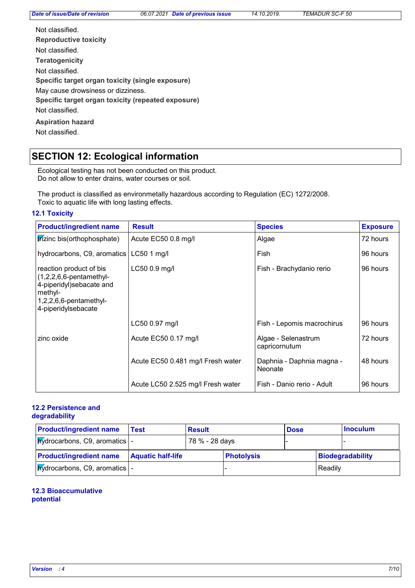| Not classified                                     |
|----------------------------------------------------|
| <b>Reproductive toxicity</b>                       |
| Not classified                                     |
| <b>Teratogenicity</b>                              |
| Not classified.                                    |
| Specific target organ toxicity (single exposure)   |
| May cause drowsiness or dizziness.                 |
| Specific target organ toxicity (repeated exposure) |
| Not classified                                     |
| <b>Aspiration hazard</b>                           |
| Not classified.                                    |

# **SECTION 12: Ecological information**

Ecological testing has not been conducted on this product. Do not allow to enter drains, water courses or soil.

The product is classified as environmetally hazardous according to Regulation (EC) 1272/2008. Toxic to aquatic life with long lasting effects.

#### **12.1 Toxicity**

| <b>Product/ingredient name</b>                                                                                                                   | <b>Species</b><br><b>Result</b>   |                                      | <b>Exposure</b> |
|--------------------------------------------------------------------------------------------------------------------------------------------------|-----------------------------------|--------------------------------------|-----------------|
| trizinc bis(orthophosphate)                                                                                                                      | Acute EC50 0.8 mg/l               | Algae                                | 72 hours        |
| hydrocarbons, C9, aromatics                                                                                                                      | $LC50$ 1 mg/l                     | Fish                                 | 96 hours        |
| reaction product of bis<br>$(1,2,2,6,6$ -pentamethyl-<br>4-piperidyl)sebacate and<br>methyl-<br>$1,2,2,6,6$ -pentamethyl-<br>4-piperidylsebacate | LC50 0.9 mg/l                     | Fish - Brachydanio rerio             | 96 hours        |
|                                                                                                                                                  | LC50 0.97 mg/l                    | Fish - Lepomis macrochirus           | 96 hours        |
| zinc oxide                                                                                                                                       | Acute EC50 0.17 mg/l              | Algae - Selenastrum<br>capricornutum | 72 hours        |
|                                                                                                                                                  | Acute EC50 0.481 mg/l Fresh water | Daphnia - Daphnia magna -<br>Neonate | 48 hours        |
|                                                                                                                                                  | Acute LC50 2.525 mg/l Fresh water | Fish - Danio rerio - Adult           | 96 hours        |

### **12.2 Persistence and**

### **degradability**

| <b>Product/ingredient name</b>                | Test                     | <b>Result</b>  |                   | <b>Dose</b> |         | <b>Inoculum</b>  |
|-----------------------------------------------|--------------------------|----------------|-------------------|-------------|---------|------------------|
| $N/d$ rocarbons, C9, aromatics $\vert$ -      |                          | 78 % - 28 days |                   |             |         |                  |
| <b>Product/ingredient name</b>                | <b>Aquatic half-life</b> |                | <b>Photolysis</b> |             |         | Biodegradability |
| $ $ <i>p</i> ydrocarbons, C9, aromatics $ $ - |                          |                |                   |             | Readily |                  |

### **12.3 Bioaccumulative potential**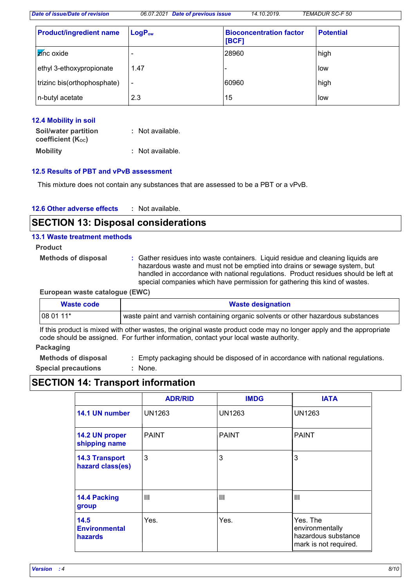*Date of issue/Date of revision 06.07.2021 Date of previous issue 14.10.2019. TEMADUR SC-F 50*

| <b>Product/ingredient name</b> | LogP <sub>ow</sub>       | <b>Bioconcentration factor</b><br>[BCF] | <b>Potential</b> |
|--------------------------------|--------------------------|-----------------------------------------|------------------|
| <b>Z</b> ínc oxide             |                          | 28960                                   | high             |
| ethyl 3-ethoxypropionate       | 1.47                     | -                                       | low              |
| trizinc bis(orthophosphate)    | $\overline{\phantom{a}}$ | 60960                                   | high             |
| n-butyl acetate                | 2.3                      | 15                                      | low              |

### **12.4 Mobility in soil**

| <b>Soil/water partition</b>    | : Not available. |
|--------------------------------|------------------|
| coefficient (K <sub>oc</sub> ) |                  |
| <b>Mobility</b>                | : Not available. |

### **12.5 Results of PBT and vPvB assessment**

This mixture does not contain any substances that are assessed to be a PBT or a vPvB.

| <b>12.6 Other adverse effects</b> |  | Not available. |
|-----------------------------------|--|----------------|
|-----------------------------------|--|----------------|

### **SECTION 13: Disposal considerations**

#### **13.1 Waste treatment methods**

- **Product**
	- **Methods of disposal :**
- Gather residues into waste containers. Liquid residue and cleaning liquids are hazardous waste and must not be emptied into drains or sewage system, but handled in accordance with national regulations. Product residues should be left at special companies which have permission for gathering this kind of wastes.

### **European waste catalogue (EWC)**

| Waste code | <b>Waste designation</b>                                                                        |  |
|------------|-------------------------------------------------------------------------------------------------|--|
| $1080111*$ | $^\mathsf{I}$ waste paint and varnish containing organic solvents or other hazardous substances |  |

If this product is mixed with other wastes, the original waste product code may no longer apply and the appropriate code should be assigned. For further information, contact your local waste authority.

### **Packaging**

**Methods of disposal : Special precautions :** Empty packaging should be disposed of in accordance with national regulations. : None.

### **SECTION 14: Transport information**

|                                           | <b>ADR/RID</b> | <b>IMDG</b>   | <b>IATA</b>                                                                 |
|-------------------------------------------|----------------|---------------|-----------------------------------------------------------------------------|
| 14.1 UN number                            | <b>UN1263</b>  | <b>UN1263</b> | <b>UN1263</b>                                                               |
| 14.2 UN proper<br>shipping name           | <b>PAINT</b>   | <b>PAINT</b>  | <b>PAINT</b>                                                                |
| <b>14.3 Transport</b><br>hazard class(es) | 3              | 3             | 3                                                                           |
| 14.4 Packing<br>group                     | Ш              | Ш             | Ш                                                                           |
| 14.5<br><b>Environmental</b><br>hazards   | Yes.           | Yes.          | Yes. The<br>environmentally<br>hazardous substance<br>mark is not required. |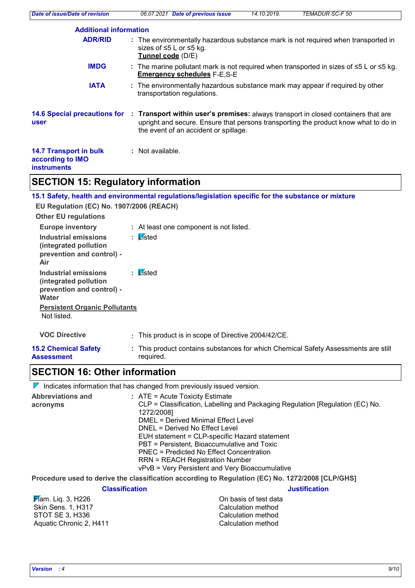| <b>Date of issue/Date of revision</b>                                   | Date of previous issue<br>06.07.2021                                                                                                                                                                                                            | 14.10.2019. | <b>TEMADUR SC-F 50</b> |
|-------------------------------------------------------------------------|-------------------------------------------------------------------------------------------------------------------------------------------------------------------------------------------------------------------------------------------------|-------------|------------------------|
| <b>Additional information</b>                                           |                                                                                                                                                                                                                                                 |             |                        |
| <b>ADR/RID</b>                                                          | : The environmentally hazardous substance mark is not required when transported in<br>sizes of ≤5 L or ≤5 kg.<br>Tunnel code (D/E)                                                                                                              |             |                        |
| <b>IMDG</b>                                                             | : The marine pollutant mark is not required when transported in sizes of $\leq 5$ L or $\leq 5$ kg.<br><b>Emergency schedules F-E,S-E</b>                                                                                                       |             |                        |
| <b>IATA</b>                                                             | : The environmentally hazardous substance mark may appear if required by other<br>transportation regulations.                                                                                                                                   |             |                        |
| user                                                                    | 14.6 Special precautions for : Transport within user's premises: always transport in closed containers that are<br>upright and secure. Ensure that persons transporting the product know what to do in<br>the event of an accident or spillage. |             |                        |
| <b>14.7 Transport in bulk</b><br>according to IMO<br><b>instruments</b> | : Not available.                                                                                                                                                                                                                                |             |                        |
|                                                                         |                                                                                                                                                                                                                                                 |             |                        |

### **SECTION 15: Regulatory information**

**15.1 Safety, health and environmental regulations/legislation specific for the substance or mixture**

| EU Regulation (EC) No. 1907/2006 (REACH)                                                   |                                                                                                 |
|--------------------------------------------------------------------------------------------|-------------------------------------------------------------------------------------------------|
| <b>Other EU regulations</b>                                                                |                                                                                                 |
| <b>Europe inventory</b>                                                                    | : At least one component is not listed.                                                         |
| Industrial emissions<br>(integrated pollution<br>prevention and control) -<br>Air          | : Listed                                                                                        |
| Industrial emissions<br>(integrated pollution<br>prevention and control) -<br><b>Water</b> | : Listed                                                                                        |
| <b>Persistent Organic Pollutants</b><br>Not listed.                                        |                                                                                                 |
| <b>VOC Directive</b>                                                                       | : This product is in scope of Directive 2004/42/CE.                                             |
| <b>15.2 Chemical Safety</b><br><b>Assessment</b>                                           | : This product contains substances for which Chemical Safety Assessments are still<br>required. |

### **SECTION 16: Other information**

|                                      | $\mathcal V$ Indicates information that has changed from previously issued version.                                                                                                                                                                                                                                                                                                                                                                         |
|--------------------------------------|-------------------------------------------------------------------------------------------------------------------------------------------------------------------------------------------------------------------------------------------------------------------------------------------------------------------------------------------------------------------------------------------------------------------------------------------------------------|
| <b>Abbreviations and</b><br>acronyms | $\therefore$ ATE = Acute Toxicity Estimate<br>CLP = Classification, Labelling and Packaging Regulation [Regulation (EC) No.<br>1272/2008]<br>DMEL = Derived Minimal Effect Level<br>DNEL = Derived No Effect Level<br>EUH statement = CLP-specific Hazard statement<br>PBT = Persistent, Bioaccumulative and Toxic<br>PNEC = Predicted No Effect Concentration<br><b>RRN = REACH Registration Number</b><br>vPvB = Very Persistent and Very Bioaccumulative |
|                                      | Procedure used to derive the classification according to Regulation (EC) No. 1272/2008 [CLP/GHS]                                                                                                                                                                                                                                                                                                                                                            |

**Classification Justification**

| <del>Ӣ</del> аm. Liq. 3, H226 | On basis of test data |
|-------------------------------|-----------------------|
| Skin Sens. 1, H317            | Calculation method    |
| STOT SE 3. H336               | Calculation method    |
| Aquatic Chronic 2, H411       | Calculation method    |
|                               |                       |